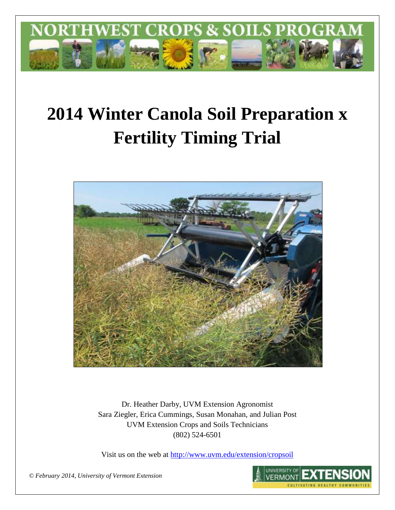

# **2014 Winter Canola Soil Preparation x Fertility Timing Trial**



Dr. Heather Darby, UVM Extension Agronomist Sara Ziegler, Erica Cummings, Susan Monahan, and Julian Post UVM Extension Crops and Soils Technicians (802) 524-6501

Visit us on the web at <http://www.uvm.edu/extension/cropsoil>



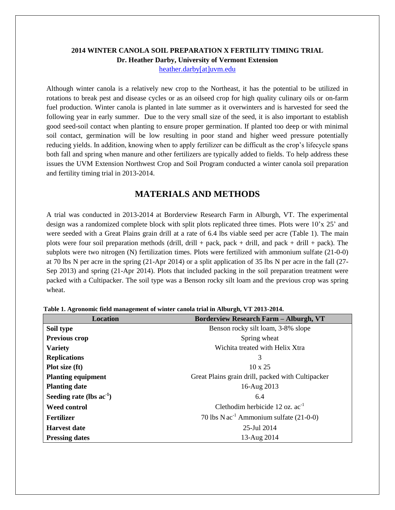## **2014 WINTER CANOLA SOIL PREPARATION X FERTILITY TIMING TRIAL Dr. Heather Darby, University of Vermont Extension**

[heather.darby\[at\]uvm.edu](mailto:heather.darby@uvm.edu?subject=2013%20Sunflower%20Reduced%20Tillage%20Trial)

Although winter canola is a relatively new crop to the Northeast, it has the potential to be utilized in rotations to break pest and disease cycles or as an oilseed crop for high quality culinary oils or on-farm fuel production. Winter canola is planted in late summer as it overwinters and is harvested for seed the following year in early summer. Due to the very small size of the seed, it is also important to establish good seed-soil contact when planting to ensure proper germination. If planted too deep or with minimal soil contact, germination will be low resulting in poor stand and higher weed pressure potentially reducing yields. In addition, knowing when to apply fertilizer can be difficult as the crop's lifecycle spans both fall and spring when manure and other fertilizers are typically added to fields. To help address these issues the UVM Extension Northwest Crop and Soil Program conducted a winter canola soil preparation and fertility timing trial in 2013-2014.

## **MATERIALS AND METHODS**

A trial was conducted in 2013-2014 at Borderview Research Farm in Alburgh, VT. The experimental design was a randomized complete block with split plots replicated three times. Plots were 10'x 25' and were seeded with a Great Plains grain drill at a rate of 6.4 lbs viable seed per acre (Table 1). The main plots were four soil preparation methods (drill, drill + pack, pack + drill, and pack + drill + pack). The subplots were two nitrogen (N) fertilization times. Plots were fertilized with ammonium sulfate (21-0-0) at 70 lbs N per acre in the spring (21-Apr 2014) or a split application of 35 lbs N per acre in the fall (27- Sep 2013) and spring (21-Apr 2014). Plots that included packing in the soil preparation treatment were packed with a Cultipacker. The soil type was a Benson rocky silt loam and the previous crop was spring wheat.

| Location                   | <b>Borderview Research Farm - Alburgh, VT</b>         |
|----------------------------|-------------------------------------------------------|
| Soil type                  | Benson rocky silt loam, 3-8% slope                    |
| Previous crop              | Spring wheat                                          |
| <b>Variety</b>             | Wichita treated with Helix Xtra                       |
| <b>Replications</b>        | 3                                                     |
| Plot size (ft)             | $10 \times 25$                                        |
| <b>Planting equipment</b>  | Great Plains grain drill, packed with Cultipacker     |
| <b>Planting date</b>       | 16-Aug 2013                                           |
| Seeding rate (lbs $ac-1$ ) | 6.4                                                   |
| <b>Weed control</b>        | Clethodim herbicide 12 oz. $ac^{-1}$                  |
| Fertilizer                 | 70 lbs $N$ ac <sup>-1</sup> Ammonium sulfate (21-0-0) |
| <b>Harvest date</b>        | 25-Jul 2014                                           |
| <b>Pressing dates</b>      | 13-Aug 2014                                           |

**Table 1. Agronomic field management of winter canola trial in Alburgh, VT 2013-2014.**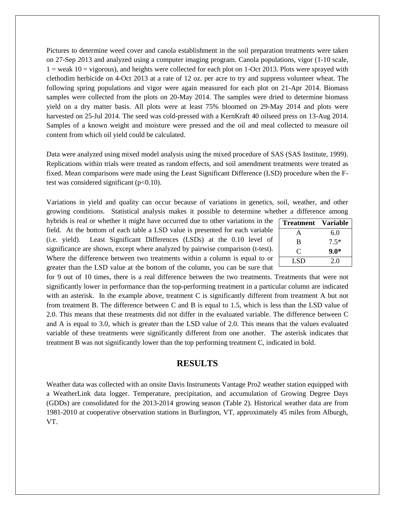Pictures to determine weed cover and canola establishment in the soil preparation treatments were taken on 27-Sep 2013 and analyzed using a computer imaging program. Canola populations, vigor (1-10 scale,  $1 =$  weak  $10 =$  vigorous), and heights were collected for each plot on 1-Oct 2013. Plots were sprayed with clethodim herbicide on 4-Oct 2013 at a rate of 12 oz. per acre to try and suppress volunteer wheat. The following spring populations and vigor were again measured for each plot on 21-Apr 2014. Biomass samples were collected from the plots on 20-May 2014. The samples were dried to determine biomass yield on a dry matter basis. All plots were at least 75% bloomed on 29-May 2014 and plots were harvested on 25-Jul 2014. The seed was cold-pressed with a KernKraft 40 oilseed press on 13-Aug 2014. Samples of a known weight and moisture were pressed and the oil and meal collected to measure oil content from which oil yield could be calculated.

Data were analyzed using mixed model analysis using the mixed procedure of SAS (SAS Institute, 1999). Replications within trials were treated as random effects, and soil amendment treatments were treated as fixed. Mean comparisons were made using the Least Significant Difference (LSD) procedure when the Ftest was considered significant  $(p<0.10)$ .

Variations in yield and quality can occur because of variations in genetics, soil, weather, and other growing conditions. Statistical analysis makes it possible to determine whether a difference among

hybrids is real or whether it might have occurred due to other variations in the field. At the bottom of each table a LSD value is presented for each variable (i.e. yield). Least Significant Differences (LSDs) at the 0.10 level of significance are shown, except where analyzed by pairwise comparison (t-test). Where the difference between two treatments within a column is equal to or greater than the LSD value at the bottom of the column, you can be sure that

| <b>Treatment</b> | Variable |
|------------------|----------|
| A                | 6.0      |
| B                | $7.5*$   |
| C                | $9.0*$   |
| LSD              | 2.0      |

for 9 out of 10 times, there is a real difference between the two treatments. Treatments that were not significantly lower in performance than the top-performing treatment in a particular column are indicated with an asterisk. In the example above, treatment C is significantly different from treatment A but not from treatment B. The difference between C and B is equal to 1.5, which is less than the LSD value of 2.0. This means that these treatments did not differ in the evaluated variable. The difference between C and A is equal to 3.0, which is greater than the LSD value of 2.0. This means that the values evaluated variable of these treatments were significantly different from one another. The asterisk indicates that treatment B was not significantly lower than the top performing treatment C, indicated in bold.

## **RESULTS**

Weather data was collected with an onsite Davis Instruments Vantage Pro2 weather station equipped with a WeatherLink data logger. Temperature, precipitation, and accumulation of Growing Degree Days (GDDs) are consolidated for the 2013-2014 growing season (Table 2). Historical weather data are from 1981-2010 at cooperative observation stations in Burlington, VT, approximately 45 miles from Alburgh, VT.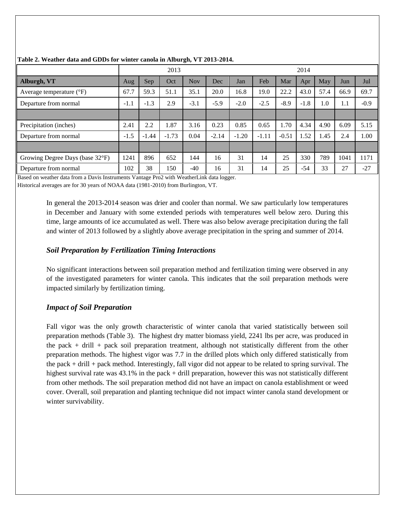|                                   |        |         | 2013    |            |         |         |         |         | 2014   |      |      |        |
|-----------------------------------|--------|---------|---------|------------|---------|---------|---------|---------|--------|------|------|--------|
| Alburgh, VT                       | Aug    | Sep     | Oct     | <b>Nov</b> | Dec     | Jan     | Feb     | Mar     | Apr    | May  | Jun  | Jul    |
| Average temperature $(^{\circ}F)$ | 67.7   | 59.3    | 51.1    | 35.1       | 20.0    | 16.8    | 19.0    | 22.2    | 43.0   | 57.4 | 66.9 | 69.7   |
| Departure from normal             | $-1.1$ | $-1.3$  | 2.9     | $-3.1$     | $-5.9$  | $-2.0$  | $-2.5$  | $-8.9$  | $-1.8$ | 1.0  | 1.1  | $-0.9$ |
|                                   |        |         |         |            |         |         |         |         |        |      |      |        |
| Precipitation (inches)            | 2.41   | 2.2     | 1.87    | 3.16       | 0.23    | 0.85    | 0.65    | 1.70    | 4.34   | 4.90 | 6.09 | 5.15   |
| Departure from normal             | $-1.5$ | $-1.44$ | $-1.73$ | 0.04       | $-2.14$ | $-1.20$ | $-1.11$ | $-0.51$ | 1.52   | 1.45 | 2.4  | 1.00   |
|                                   |        |         |         |            |         |         |         |         |        |      |      |        |
| Growing Degree Days (base 32°F)   | 1241   | 896     | 652     | 144        | 16      | 31      | 14      | 25      | 330    | 789  | 1041 | 1171   |
| Departure from normal             | 102    | 38      | 150     | $-40$      | 16      | 31      | 14      | 25      | $-54$  | 33   | 27   | $-27$  |

## **Table 2. Weather data and GDDs for winter canola in Alburgh, VT 2013-2014.**

Based on weather data from a Davis Instruments Vantage Pro2 with WeatherLink data logger.

Historical averages are for 30 years of NOAA data (1981-2010) from Burlington, VT.

In general the 2013-2014 season was drier and cooler than normal. We saw particularly low temperatures in December and January with some extended periods with temperatures well below zero. During this time, large amounts of ice accumulated as well. There was also below average precipitation during the fall and winter of 2013 followed by a slightly above average precipitation in the spring and summer of 2014.

# *Soil Preparation by Fertilization Timing Interactions*

No significant interactions between soil preparation method and fertilization timing were observed in any of the investigated parameters for winter canola. This indicates that the soil preparation methods were impacted similarly by fertilization timing.

# *Impact of Soil Preparation*

Fall vigor was the only growth characteristic of winter canola that varied statistically between soil preparation methods (Table 3). The highest dry matter biomass yield, 2241 lbs per acre, was produced in the pack + drill + pack soil preparation treatment, although not statistically different from the other preparation methods. The highest vigor was 7.7 in the drilled plots which only differed statistically from the pack + drill + pack method. Interestingly, fall vigor did not appear to be related to spring survival. The highest survival rate was 43.1% in the pack + drill preparation, however this was not statistically different from other methods. The soil preparation method did not have an impact on canola establishment or weed cover. Overall, soil preparation and planting technique did not impact winter canola stand development or winter survivability.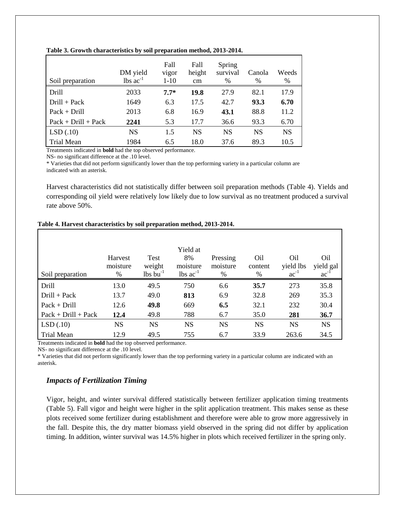| Soil preparation      | DM yield<br>$\text{lbs ac}^{-1}$ | Fall<br>vigor<br>$1-10$ | Fall<br>height<br>$\rm cm$ | Spring<br>survival<br>$\frac{0}{0}$ | Canola<br>$\frac{0}{0}$ | Weeds<br>$\%$ |
|-----------------------|----------------------------------|-------------------------|----------------------------|-------------------------------------|-------------------------|---------------|
| Drill                 | 2033                             | $7.7*$                  | 19.8                       | 27.9                                | 82.1                    | 17.9          |
| $Drill + Pack$        | 1649                             | 6.3                     | 17.5                       | 42.7                                | 93.3                    | 6.70          |
| $Pack + Drill$        | 2013                             | 6.8                     | 16.9                       | 43.1                                | 88.8                    | 11.2          |
| $Pack + Drill + Pack$ | 2241                             | 5.3                     | 17.7                       | 36.6                                | 93.3                    | 6.70          |
| LSD(.10)              | <b>NS</b>                        | 1.5                     | <b>NS</b>                  | <b>NS</b>                           | <b>NS</b>               | <b>NS</b>     |
| <b>Trial Mean</b>     | 1984                             | 6.5                     | 18.0                       | 37.6                                | 89.3                    | 10.5          |

#### **Table 3. Growth characteristics by soil preparation method, 2013-2014.**

Treatments indicated in **bold** had the top observed performance.

NS- no significant difference at the .10 level.

\* Varieties that did not perform significantly lower than the top performing variety in a particular column are indicated with an asterisk.

Harvest characteristics did not statistically differ between soil preparation methods (Table 4). Yields and corresponding oil yield were relatively low likely due to low survival as no treatment produced a survival rate above 50%.

| Soil preparation      | Harvest<br>moisture<br>$\%$ | <b>Test</b><br>weight<br>$lbs$ bu <sup>-1</sup> | Yield at<br>8%<br>moisture<br>$\text{lbs}$ ac <sup>-1</sup> | Pressing<br>moisture<br>% | O <sub>il</sub><br>content<br>$\%$ | O <sub>il</sub><br>yield lbs<br>$ac^{-1}$ | O <sub>il</sub><br>yield gal<br>$ac^{-1}$ |
|-----------------------|-----------------------------|-------------------------------------------------|-------------------------------------------------------------|---------------------------|------------------------------------|-------------------------------------------|-------------------------------------------|
| Drill                 | 13.0                        | 49.5                                            | 750                                                         | 6.6                       | 35.7                               | 273                                       | 35.8                                      |
| $Drill + Pack$        | 13.7                        | 49.0                                            | 813                                                         | 6.9                       | 32.8                               | 269                                       | 35.3                                      |
| $Pack + Drill$        | 12.6                        | 49.8                                            | 669                                                         | 6.5                       | 32.1                               | 232                                       | 30.4                                      |
| $Pack + Drill + Pack$ | 12.4                        | 49.8                                            | 788                                                         | 6.7                       | 35.0                               | 281                                       | 36.7                                      |
| LSD(.10)              | <b>NS</b>                   | <b>NS</b>                                       | <b>NS</b>                                                   | <b>NS</b>                 | <b>NS</b>                          | <b>NS</b>                                 | <b>NS</b>                                 |
| <b>Trial Mean</b>     | 12.9                        | 49.5                                            | 755                                                         | 6.7                       | 33.9                               | 263.6                                     | 34.5                                      |

#### **Table 4. Harvest characteristics by soil preparation method, 2013-2014.**

Treatments indicated in **bold** had the top observed performance.

NS- no significant difference at the .10 level.

\* Varieties that did not perform significantly lower than the top performing variety in a particular column are indicated with an asterisk.

### *Impacts of Fertilization Timing*

Vigor, height, and winter survival differed statistically between fertilizer application timing treatments (Table 5). Fall vigor and height were higher in the split application treatment. This makes sense as these plots received some fertilizer during establishment and therefore were able to grow more aggressively in the fall. Despite this, the dry matter biomass yield observed in the spring did not differ by application timing. In addition, winter survival was 14.5% higher in plots which received fertilizer in the spring only.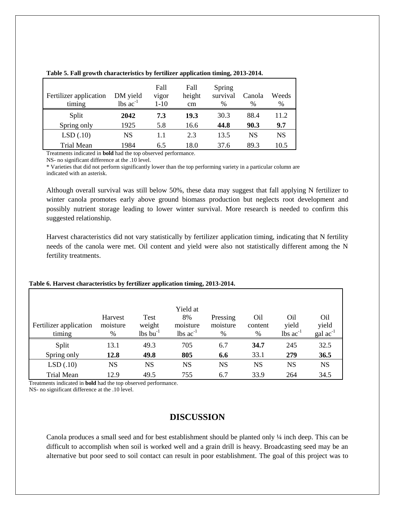| Fertilizer application<br>timing | DM yield<br>$lbs$ $ac^{-1}$ | Fall<br>vigor<br>$1-10$ | Fall<br>height<br>cm | Spring<br>survival<br>$\frac{0}{0}$ | Canola<br>$\%$ | Weeds<br>% |
|----------------------------------|-----------------------------|-------------------------|----------------------|-------------------------------------|----------------|------------|
| Split                            | 2042                        | 7.3                     | 19.3                 | 30.3                                | 88.4           | 11.2       |
| Spring only                      | 1925                        | 5.8                     | 16.6                 | 44.8                                | 90.3           | 9.7        |
| LSD(.10)                         | NS                          | 1.1                     | 2.3                  | 13.5                                | NS             | NS         |
| Trial Mean                       | 1984                        | 6.5                     | 18.0                 | 37.6                                | 89.3           | 10.5       |

**Table 5. Fall growth characteristics by fertilizer application timing, 2013-2014.**

Treatments indicated in **bold** had the top observed performance.

NS- no significant difference at the .10 level.

\* Varieties that did not perform significantly lower than the top performing variety in a particular column are indicated with an asterisk.

Although overall survival was still below 50%, these data may suggest that fall applying N fertilizer to winter canola promotes early above ground biomass production but neglects root development and possibly nutrient storage leading to lower winter survival. More research is needed to confirm this suggested relationship.

Harvest characteristics did not vary statistically by fertilizer application timing, indicating that N fertility needs of the canola were met. Oil content and yield were also not statistically different among the N fertility treatments.

|                        |           |                        | Yield at                      |           |         |                               |                      |
|------------------------|-----------|------------------------|-------------------------------|-----------|---------|-------------------------------|----------------------|
|                        | Harvest   | Test                   | 8%                            | Pressing  | Oil     | Oil                           | O <sub>il</sub>      |
| Fertilizer application | moisture  | weight                 | moisture                      | moisture  | content | yield                         | yield                |
| timing                 | %         | $lbs$ bu <sup>-1</sup> | $\text{lbs}$ ac <sup>-1</sup> | %         | %       | $\text{lbs}$ ac <sup>-1</sup> | $\text{gal ac}^{-1}$ |
| Split                  | 13.1      | 49.3                   | 705                           | 6.7       | 34.7    | 245                           | 32.5                 |
| Spring only            | 12.8      | 49.8                   | 805                           | 6.6       | 33.1    | 279                           | 36.5                 |
| LSD(.10)               | <b>NS</b> | NS                     | <b>NS</b>                     | <b>NS</b> | NS      | NS                            | <b>NS</b>            |
| <b>Trial Mean</b>      | 12.9      | 49.5                   | 755                           | 6.7       | 33.9    | 264                           | 34.5                 |

#### **Table 6. Harvest characteristics by fertilizer application timing, 2013-2014.**

Treatments indicated in **bold** had the top observed performance.

NS- no significant difference at the .10 level.

# **DISCUSSION**

Canola produces a small seed and for best establishment should be planted only ¼ inch deep. This can be difficult to accomplish when soil is worked well and a grain drill is heavy. Broadcasting seed may be an alternative but poor seed to soil contact can result in poor establishment. The goal of this project was to